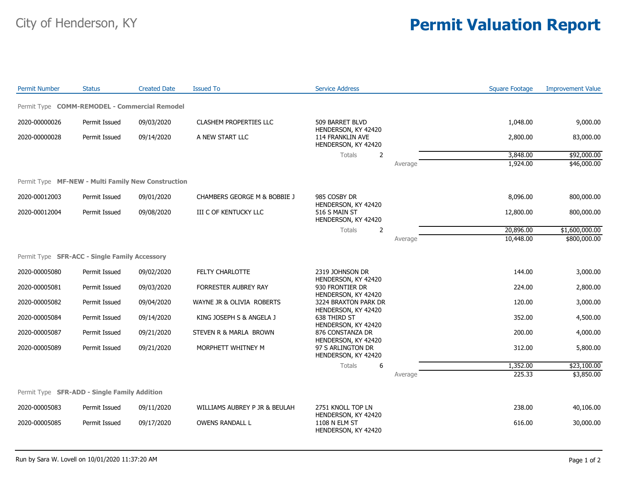## City of Henderson, KY **Permit Valuation Report**

| <b>Permit Number</b>                               | <b>Status</b> | <b>Created Date</b> | <b>Issued To</b>                        | <b>Service Address</b>                                         |         | <b>Square Footage</b> | <b>Improvement Value</b> |
|----------------------------------------------------|---------------|---------------------|-----------------------------------------|----------------------------------------------------------------|---------|-----------------------|--------------------------|
| Permit Type COMM-REMODEL - Commercial Remodel      |               |                     |                                         |                                                                |         |                       |                          |
| 2020-00000026                                      | Permit Issued | 09/03/2020          | <b>CLASHEM PROPERTIES LLC</b>           | 509 BARRET BLVD<br>HENDERSON, KY 42420                         |         | 1,048.00              | 9,000.00                 |
| 2020-00000028                                      | Permit Issued | 09/14/2020          | A NEW START LLC                         | 114 FRANKLIN AVE<br>HENDERSON, KY 42420                        |         | 2,800.00              | 83,000.00                |
|                                                    |               |                     |                                         | <b>Totals</b><br>2                                             |         | 3,848.00              | \$92,000.00              |
|                                                    |               |                     |                                         |                                                                | Average | 1,924.00              | \$46,000.00              |
| Permit Type MF-NEW - Multi Family New Construction |               |                     |                                         |                                                                |         |                       |                          |
| 2020-00012003                                      | Permit Issued | 09/01/2020          | <b>CHAMBERS GEORGE M &amp; BOBBIE J</b> | 985 COSBY DR<br>HENDERSON, KY 42420                            |         | 8,096.00              | 800,000.00               |
| 2020-00012004                                      | Permit Issued | 09/08/2020          | III C OF KENTUCKY LLC                   | 516 S MAIN ST<br>HENDERSON, KY 42420                           |         | 12,800.00             | 800,000.00               |
|                                                    |               |                     |                                         | <b>Totals</b><br>$\overline{2}$                                |         | 20,896.00             | \$1,600,000.00           |
|                                                    |               |                     |                                         |                                                                | Average | 10,448.00             | \$800,000.00             |
| Permit Type SFR-ACC - Single Family Accessory      |               |                     |                                         |                                                                |         |                       |                          |
| 2020-00005080                                      | Permit Issued | 09/02/2020          | FELTY CHARLOTTE                         | 2319 JOHNSON DR<br>HENDERSON, KY 42420                         |         | 144.00                | 3,000.00                 |
| 2020-00005081                                      | Permit Issued | 09/03/2020          | FORRESTER AUBREY RAY                    | 930 FRONTIER DR<br>HENDERSON, KY 42420                         |         | 224.00                | 2,800.00                 |
| 2020-00005082                                      | Permit Issued | 09/04/2020          | WAYNE JR & OLIVIA ROBERTS               | 3224 BRAXTON PARK DR<br>HENDERSON, KY 42420                    |         | 120.00                | 3,000.00                 |
| 2020-00005084                                      | Permit Issued | 09/14/2020          | KING JOSEPH S & ANGELA J                | 638 THIRD ST                                                   |         | 352.00                | 4,500.00                 |
| 2020-00005087                                      | Permit Issued | 09/21/2020          | STEVEN R & MARLA BROWN                  | HENDERSON, KY 42420<br>876 CONSTANZA DR<br>HENDERSON, KY 42420 |         | 200.00                | 4,000.00                 |
| 2020-00005089                                      | Permit Issued | 09/21/2020          | MORPHETT WHITNEY M                      | 97 S ARLINGTON DR<br>HENDERSON, KY 42420                       |         | 312.00                | 5,800.00                 |
|                                                    |               |                     |                                         | 6<br><b>Totals</b>                                             |         | 1,352.00              | \$23,100.00              |
|                                                    |               |                     |                                         |                                                                | Average | 225.33                | \$3,850.00               |
| Permit Type SFR-ADD - Single Family Addition       |               |                     |                                         |                                                                |         |                       |                          |
| 2020-00005083                                      | Permit Issued | 09/11/2020          | WILLIAMS AUBREY P JR & BEULAH           | 2751 KNOLL TOP LN                                              |         | 238.00                | 40,106.00                |
| 2020-00005085                                      | Permit Issued | 09/17/2020          | OWENS RANDALL L                         | HENDERSON, KY 42420<br>1108 N ELM ST<br>HENDERSON, KY 42420    |         | 616.00                | 30,000.00                |